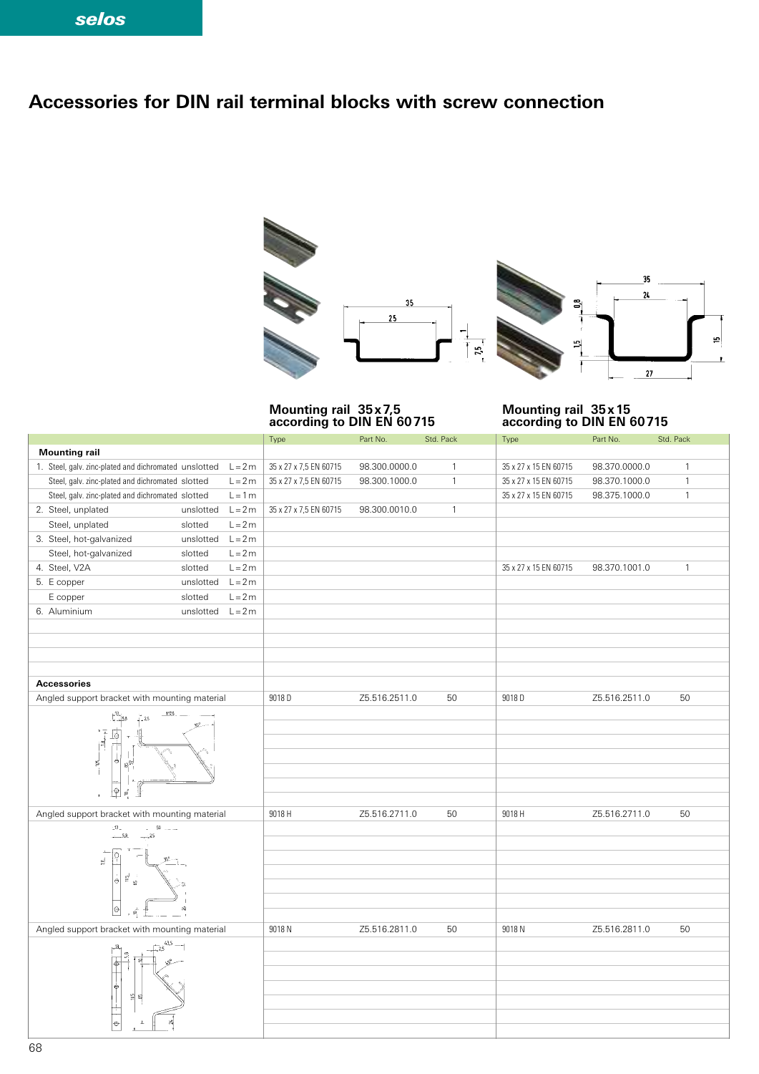# **Accessories for DIN rail terminal blocks with screw connection**



### **Mounting rail 35 x 7,5 according to DIN EN 60 715**

**Mounting rail 35 x 15 according to DIN EN 60 715**

|                                                               |                    |                        | Type                   | Part No.      | Std. Pack             | Type                  | Part No.      | Std. Pack    |
|---------------------------------------------------------------|--------------------|------------------------|------------------------|---------------|-----------------------|-----------------------|---------------|--------------|
| <b>Mounting rail</b>                                          |                    |                        |                        |               |                       |                       |               |              |
| 1. Steel, galv. zinc-plated and dichromated unslotted         |                    | $L = 2m$               | 35 x 27 x 7,5 EN 60715 | 98.300.0000.0 | $\mathbf{1}$          | 35 x 27 x 15 EN 60715 | 98.370.0000.0 | $\mathbf{1}$ |
| Steel, galv. zinc-plated and dichromated slotted<br>$L = 2m$  |                    | 35 x 27 x 7,5 EN 60715 | 98.300.1000.0          | $\mathbf{1}$  | 35 x 27 x 15 EN 60715 | 98.370.1000.0         | $\mathbf{1}$  |              |
| Steel, galv. zinc-plated and dichromated slotted<br>$L = 1 m$ |                    |                        |                        |               | 35 x 27 x 15 EN 60715 | 98.375.1000.0         | $\mathbf{1}$  |              |
| 2. Steel, unplated                                            | unslotted          | $L = 2m$               | 35 x 27 x 7,5 EN 60715 | 98.300.0010.0 | $\mathbf{1}$          |                       |               |              |
| Steel, unplated                                               | slotted            | $L = 2m$               |                        |               |                       |                       |               |              |
| 3. Steel, hot-galvanized                                      | unslotted          | $L = 2m$               |                        |               |                       |                       |               |              |
| Steel, hot-galvanized                                         | slotted            | $L = 2m$               |                        |               |                       |                       |               |              |
| 4. Steel, V2A                                                 | slotted            | $L = 2m$               |                        |               |                       | 35 x 27 x 15 EN 60715 | 98.370.1001.0 | $\mathbf{1}$ |
| 5. E copper                                                   | unslotted $L = 2m$ |                        |                        |               |                       |                       |               |              |
| E copper                                                      | slotted            | $L = 2m$               |                        |               |                       |                       |               |              |
| 6. Aluminium                                                  | unslotted          | $L = 2m$               |                        |               |                       |                       |               |              |
|                                                               |                    |                        |                        |               |                       |                       |               |              |
|                                                               |                    |                        |                        |               |                       |                       |               |              |
|                                                               |                    |                        |                        |               |                       |                       |               |              |
|                                                               |                    |                        |                        |               |                       |                       |               |              |
| <b>Accessories</b>                                            |                    |                        |                        |               |                       |                       |               |              |
| Angled support bracket with mounting material                 |                    |                        | 9018 D                 | Z5.516.2511.0 | 50                    | 9018 D                | Z5.516.2511.0 | 50           |
| 117.5<br>™<br>∷lsa<br>-25<br>Ò<br>g<br>Ŷ<br>e,                |                    |                        |                        |               |                       |                       |               |              |
| Angled support bracket with mounting material                 |                    |                        | 9018 H                 | Z5.516.2711.0 | 50                    | 9018 H                | Z5.516.2711.0 | 50           |
| $\mathfrak{B}_n$<br>$50$<br>$-58$                             |                    |                        |                        |               |                       |                       |               |              |
| $-25$<br>$\overline{\bf 28}$<br>삘<br>٥<br>s.<br>$_{\odot}$    |                    |                        |                        |               |                       |                       |               |              |
| Angled support bracket with mounting material                 |                    |                        | 9018 <sub>N</sub>      | Z5.516.2811.0 | 50                    | 9018N                 | Z5.516.2811.0 | 50           |
| 43,5<br>-25<br>ቀ<br>S<br>$\ddot{\phantom{0}}$                 |                    |                        |                        |               |                       |                       |               |              |